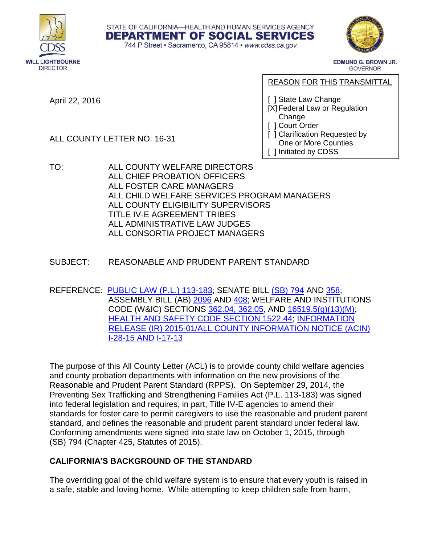





EDMUND G. BROWN JR. GOVERNOR

April 22, 2016

------------ REASON FOR THIS TRANSMITTAL

[ ] State Law Change

- [X] Federal Law or Regulation Change
- [ ] Court Order
- [ ] Clarification Requested by One or More Counties
- [ ] Initiated by CDSS
- TO: ALL COUNTY WELFARE DIRECTORS ALL CHIEF PROBATION OFFICERS ALL FOSTER CARE MANAGERS ALL CHILD WELFARE SERVICES PROGRAM MANAGERS ALL COUNTY ELIGIBILITY SUPERVISORS TITLE IV-E AGREEMENT TRIBES ALL ADMINISTRATIVE LAW JUDGES ALL CONSORTIA PROJECT MANAGERS
- SUBJECT: REASONABLE AND PRUDENT PARENT STANDARD
- REFERENCE: [PUBLIC LAW \(P.L.\) 113-183;](https://www.congress.gov/bill/113th-congress/house-bill/4980/text) SENATE BILL [\(SB\) 794](http://leginfo.legislature.ca.gov/faces/billNavClient.xhtml?bill_id=201520160SB794) AND [358;](http://leginfo.legislature.ca.gov/faces/billNavClient.xhtml?bill_id=200520060SB358) ASSEMBLY BILL (AB) [2096](http://leginfo.legislature.ca.gov/faces/billNavClient.xhtml?bill_id=200720080AB2096) AND [408;](http://leginfo.legislature.ca.gov/faces/billNavClient.xhtml?bill_id=200320040AB408) WELFARE AND INSTITUTIONS CODE (W&IC) SECTIONS [362.04, 362.05,](http://www.leginfo.ca.gov/cgi-bin/displaycode?section=wic&group=00001-01000&file=360-370) AND [16519.5\(g\)\(13\)\(M\);](http://www.leginfo.ca.gov/cgi-bin/displaycode?section=wic&group=16001-17000&file=16500-16521.5) [HEALTH AND SAFETY CODE SECTION 1522.44;](http://www.leginfo.ca.gov/cgi-bin/displaycode?section=hsc&group=01001-02000&file=1520-1526.8) [INFORMATION](http://www.cdss.ca.gov/lettersnotices/EntRes/getinfo/acin/2015/I-28_15.pdf)  [RELEASE \(IR\) 2015-01/ALL COUNTY INFORMATION NOTICE \(ACIN\)](http://www.cdss.ca.gov/lettersnotices/EntRes/getinfo/acin/2015/I-28_15.pdf)  [I-28-15](http://www.cdss.ca.gov/lettersnotices/EntRes/getinfo/acin/2015/I-28_15.pdf) AND [I-17-13](http://www.cdss.ca.gov/lettersnotices/EntRes/getinfo/acin/2013/I-17_13.pdf)

The purpose of this All County Letter (ACL) is to provide county child welfare agencies and county probation departments with information on the new provisions of the Reasonable and Prudent Parent Standard (RPPS). On September 29, 2014, the Preventing Sex Trafficking and Strengthening Families Act (P.L. 113-183) was signed into federal legislation and requires, in part, Title IV-E agencies to amend their standards for foster care to permit caregivers to use the reasonable and prudent parent standard, and defines the reasonable and prudent parent standard under federal law. Conforming amendments were signed into state law on October 1, 2015, through (SB) 794 (Chapter 425, Statutes of 2015).

# **CALIFORNIA'S BACKGROUND OF THE STANDARD**

The overriding goal of the child welfare system is to ensure that every youth is raised in a safe, stable and loving home. While attempting to keep children safe from harm,

ALL COUNTY LETTER NO. 16-31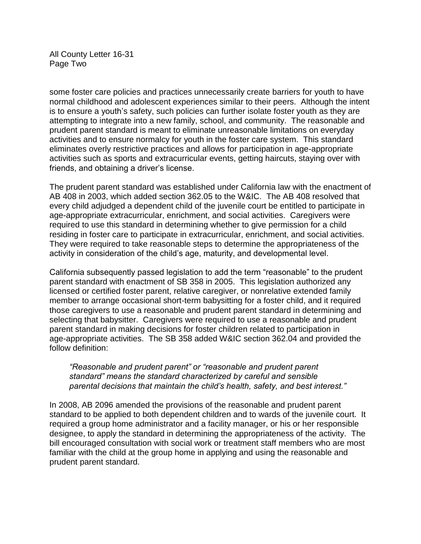All County Letter 16-31 Page Two

some foster care policies and practices unnecessarily create barriers for youth to have normal childhood and adolescent experiences similar to their peers. Although the intent is to ensure a youth's safety, such policies can further isolate foster youth as they are attempting to integrate into a new family, school, and community. The reasonable and prudent parent standard is meant to eliminate unreasonable limitations on everyday activities and to ensure normalcy for youth in the foster care system. This standard eliminates overly restrictive practices and allows for participation in age-appropriate activities such as sports and extracurricular events, getting haircuts, staying over with friends, and obtaining a driver's license.

The prudent parent standard was established under California law with the enactment of AB 408 in 2003, which added section 362.05 to the W&IC. The AB 408 resolved that every child adjudged a dependent child of the juvenile court be entitled to participate in age-appropriate extracurricular, enrichment, and social activities. Caregivers were required to use this standard in determining whether to give permission for a child residing in foster care to participate in extracurricular, enrichment, and social activities. They were required to take reasonable steps to determine the appropriateness of the activity in consideration of the child's age, maturity, and developmental level.

California subsequently passed legislation to add the term "reasonable" to the prudent parent standard with enactment of SB 358 in 2005. This legislation authorized any licensed or certified foster parent, relative caregiver, or nonrelative extended family member to arrange occasional short-term babysitting for a foster child, and it required those caregivers to use a reasonable and prudent parent standard in determining and selecting that babysitter. Caregivers were required to use a reasonable and prudent parent standard in making decisions for foster children related to participation in age-appropriate activities. The SB 358 added W&IC section 362.04 and provided the follow definition:

*"Reasonable and prudent parent" or "reasonable and prudent parent standard" means the standard characterized by careful and sensible parental decisions that maintain the child's health, safety, and best interest."*

In 2008, AB 2096 amended the provisions of the reasonable and prudent parent standard to be applied to both dependent children and to wards of the juvenile court. It required a group home administrator and a facility manager, or his or her responsible designee, to apply the standard in determining the appropriateness of the activity. The bill encouraged consultation with social work or treatment staff members who are most familiar with the child at the group home in applying and using the reasonable and prudent parent standard.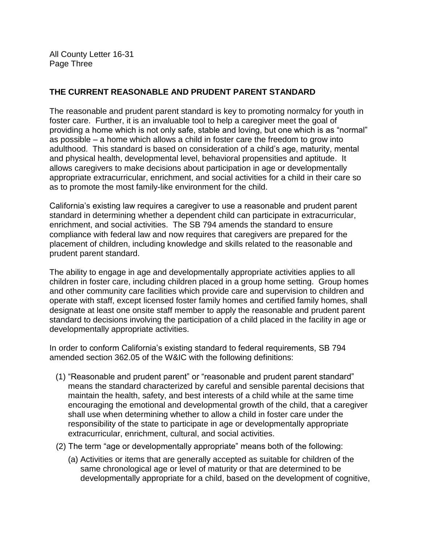All County Letter 16-31 Page Three

## **THE CURRENT REASONABLE AND PRUDENT PARENT STANDARD**

The reasonable and prudent parent standard is key to promoting normalcy for youth in foster care. Further, it is an invaluable tool to help a caregiver meet the goal of providing a home which is not only safe, stable and loving, but one which is as "normal" as possible – a home which allows a child in foster care the freedom to grow into adulthood. This standard is based on consideration of a child's age, maturity, mental and physical health, developmental level, behavioral propensities and aptitude. It allows caregivers to make decisions about participation in age or developmentally appropriate extracurricular, enrichment, and social activities for a child in their care so as to promote the most family-like environment for the child.

California's existing law requires a caregiver to use a reasonable and prudent parent standard in determining whether a dependent child can participate in extracurricular, enrichment, and social activities. The SB 794 amends the standard to ensure compliance with federal law and now requires that caregivers are prepared for the placement of children, including knowledge and skills related to the reasonable and prudent parent standard.

The ability to engage in age and developmentally appropriate activities applies to all children in foster care, including children placed in a group home setting. Group homes and other community care facilities which provide care and supervision to children and operate with staff, except licensed foster family homes and certified family homes, shall designate at least one onsite staff member to apply the reasonable and prudent parent standard to decisions involving the participation of a child placed in the facility in age or developmentally appropriate activities.

In order to conform California's existing standard to federal requirements, SB 794 amended section 362.05 of the W&IC with the following definitions:

- (1) "Reasonable and prudent parent" or "reasonable and prudent parent standard" means the standard characterized by careful and sensible parental decisions that maintain the health, safety, and best interests of a child while at the same time encouraging the emotional and developmental growth of the child, that a caregiver shall use when determining whether to allow a child in foster care under the responsibility of the state to participate in age or developmentally appropriate extracurricular, enrichment, cultural, and social activities.
- (2) The term "age or developmentally appropriate" means both of the following:
	- (a) Activities or items that are generally accepted as suitable for children of the same chronological age or level of maturity or that are determined to be developmentally appropriate for a child, based on the development of cognitive,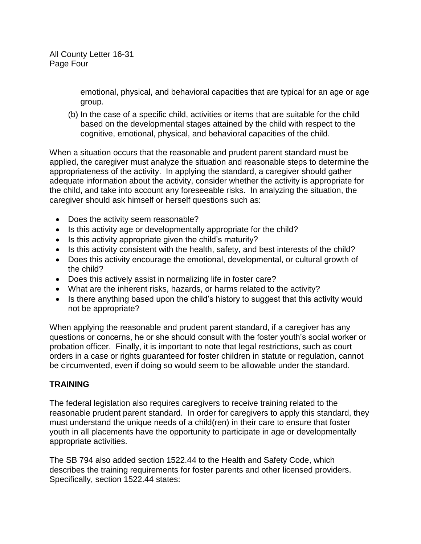emotional, physical, and behavioral capacities that are typical for an age or age group.

(b) In the case of a specific child, activities or items that are suitable for the child based on the developmental stages attained by the child with respect to the cognitive, emotional, physical, and behavioral capacities of the child.

When a situation occurs that the reasonable and prudent parent standard must be applied, the caregiver must analyze the situation and reasonable steps to determine the appropriateness of the activity. In applying the standard, a caregiver should gather adequate information about the activity, consider whether the activity is appropriate for the child, and take into account any foreseeable risks. In analyzing the situation, the caregiver should ask himself or herself questions such as:

- Does the activity seem reasonable?
- Is this activity age or developmentally appropriate for the child?
- Is this activity appropriate given the child's maturity?
- Is this activity consistent with the health, safety, and best interests of the child?
- Does this activity encourage the emotional, developmental, or cultural growth of the child?
- Does this actively assist in normalizing life in foster care?
- What are the inherent risks, hazards, or harms related to the activity?
- Is there anything based upon the child's history to suggest that this activity would not be appropriate?

When applying the reasonable and prudent parent standard, if a caregiver has any questions or concerns, he or she should consult with the foster youth's social worker or probation officer. Finally, it is important to note that legal restrictions, such as court orders in a case or rights guaranteed for foster children in statute or regulation, cannot be circumvented, even if doing so would seem to be allowable under the standard.

## **TRAINING**

The federal legislation also requires caregivers to receive training related to the reasonable prudent parent standard. In order for caregivers to apply this standard, they must understand the unique needs of a child(ren) in their care to ensure that foster youth in all placements have the opportunity to participate in age or developmentally appropriate activities.

The SB 794 also added section 1522.44 to the Health and Safety Code, which describes the training requirements for foster parents and other licensed providers. Specifically, section 1522.44 states: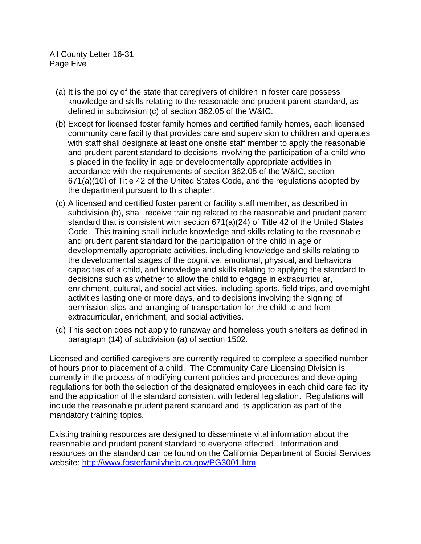All County Letter 16-31 Page Five

- (a) It is the policy of the state that caregivers of children in foster care possess knowledge and skills relating to the reasonable and prudent parent standard, as defined in subdivision (c) of section 362.05 of the W&IC.
- (b) Except for licensed foster family homes and certified family homes, each licensed community care facility that provides care and supervision to children and operates with staff shall designate at least one onsite staff member to apply the reasonable and prudent parent standard to decisions involving the participation of a child who is placed in the facility in age or developmentally appropriate activities in accordance with the requirements of section 362.05 of the W&IC, section 671(a)(10) of Title 42 of the United States Code, and the regulations adopted by the department pursuant to this chapter.
- (c) A licensed and certified foster parent or facility staff member, as described in subdivision (b), shall receive training related to the reasonable and prudent parent standard that is consistent with section 671(a)(24) of Title 42 of the United States Code. This training shall include knowledge and skills relating to the reasonable and prudent parent standard for the participation of the child in age or developmentally appropriate activities, including knowledge and skills relating to the developmental stages of the cognitive, emotional, physical, and behavioral capacities of a child, and knowledge and skills relating to applying the standard to decisions such as whether to allow the child to engage in extracurricular, enrichment, cultural, and social activities, including sports, field trips, and overnight activities lasting one or more days, and to decisions involving the signing of permission slips and arranging of transportation for the child to and from extracurricular, enrichment, and social activities.
- (d) This section does not apply to runaway and homeless youth shelters as defined in paragraph (14) of subdivision (a) of section 1502.

Licensed and certified caregivers are currently required to complete a specified number of hours prior to placement of a child. The Community Care Licensing Division is currently in the process of modifying current policies and procedures and developing regulations for both the selection of the designated employees in each child care facility and the application of the standard consistent with federal legislation. Regulations will include the reasonable prudent parent standard and its application as part of the mandatory training topics.

Existing training resources are designed to disseminate vital information about the reasonable and prudent parent standard to everyone affected. Information and resources on the standard can be found on the California Department of Social Services website:<http://www.fosterfamilyhelp.ca.gov/PG3001.htm>